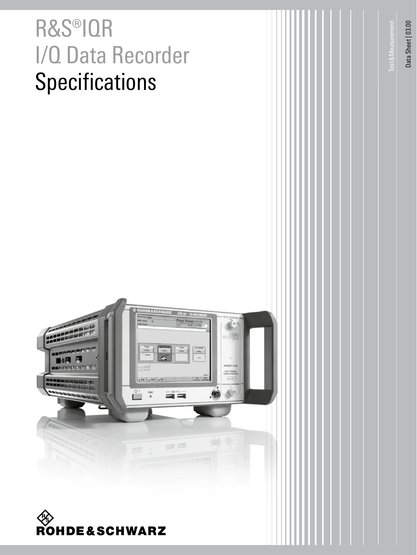# R&S®IQR I/Q Data Recorder **Specifications**

Data Sheet | 03.00 Data Sheet | 03.00

Test&Measurement

**Test & Measurement** 



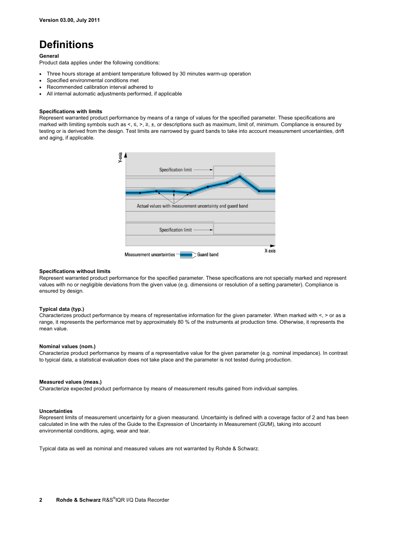# **Definitions**

#### **General**

Product data applies under the following conditions:

- Three hours storage at ambient temperature followed by 30 minutes warm-up operation
- Specified environmental conditions met
- Recommended calibration interval adhered to
- All internal automatic adjustments performed, if applicable

#### **Specifications with limits**

Represent warranted product performance by means of a range of values for the specified parameter. These specifications are marked with limiting symbols such as <, ≤, >, ≥, ±, or descriptions such as maximum, limit of, minimum. Compliance is ensured by testing or is derived from the design. Test limits are narrowed by guard bands to take into account measurement uncertainties, drift and aging, if applicable.



#### **Specifications without limits**

Represent warranted product performance for the specified parameter. These specifications are not specially marked and represent values with no or negligible deviations from the given value (e.g. dimensions or resolution of a setting parameter). Compliance is ensured by design.

#### **Typical data (typ.)**

Characterizes product performance by means of representative information for the given parameter. When marked with <, > or as a range, it represents the performance met by approximately 80 % of the instruments at production time. Otherwise, it represents the mean value.

#### **Nominal values (nom.)**

Characterize product performance by means of a representative value for the given parameter (e.g. nominal impedance). In contrast to typical data, a statistical evaluation does not take place and the parameter is not tested during production.

#### **Measured values (meas.)**

Characterize expected product performance by means of measurement results gained from individual samples.

#### **Uncertainties**

Represent limits of measurement uncertainty for a given measurand. Uncertainty is defined with a coverage factor of 2 and has been calculated in line with the rules of the Guide to the Expression of Uncertainty in Measurement (GUM), taking into account environmental conditions, aging, wear and tear.

Typical data as well as nominal and measured values are not warranted by Rohde & Schwarz.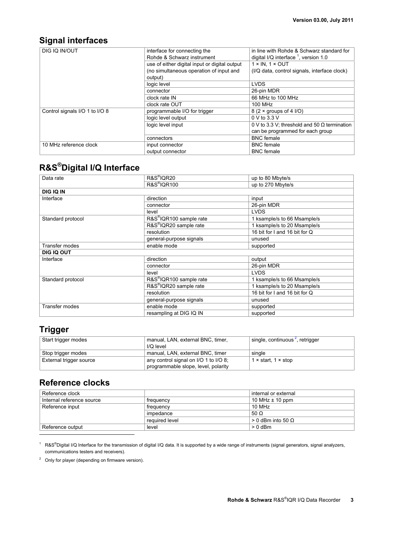# **Signal interfaces**

| DIG IQ IN/OUT                  | interface for connecting the<br>Rohde & Schwarz instrument | in line with Rohde & Schwarz standard for<br>digital I/Q interface $1$ , version 1.0 |
|--------------------------------|------------------------------------------------------------|--------------------------------------------------------------------------------------|
|                                | use of either digital input or digital output              | $1 \times IN. 1 \times OUT$                                                          |
|                                | (no simultaneous operation of input and                    | (I/Q data, control signals, interface clock)                                         |
|                                | output)                                                    |                                                                                      |
|                                | logic level                                                | <b>LVDS</b>                                                                          |
|                                | connector                                                  | 26-pin MDR                                                                           |
|                                | clock rate IN                                              | 66 MHz to 100 MHz                                                                    |
|                                | clock rate OUT                                             | 100 MHz                                                                              |
| Control signals I/O 1 to I/O 8 | programmable I/O for trigger                               | $8(2 \times$ groups of 4 $I/O$ )                                                     |
|                                | logic level output                                         | 0 V to 3.3 V                                                                         |
|                                | logic level input                                          | 0 V to 3.3 V; threshold and 50 $\Omega$ termination                                  |
|                                |                                                            | can be programmed for each group                                                     |
|                                | connectors                                                 | <b>BNC</b> female                                                                    |
| 10 MHz reference clock         | input connector                                            | <b>BNC</b> female                                                                    |
|                                | output connector                                           | <b>BNC</b> female                                                                    |

# **R&S®Digital I/Q Interface**

| Data rate         | R&S <sup>®</sup> IQR20              | up to 80 Mbyte/s              |
|-------------------|-------------------------------------|-------------------------------|
|                   | <b>R&amp;S®IQR100</b>               | up to 270 Mbyte/s             |
| <b>DIG IQ IN</b>  |                                     |                               |
| Interface         | direction                           | input                         |
|                   | connector                           | 26-pin MDR                    |
|                   | level                               | <b>LVDS</b>                   |
| Standard protocol | R&S <sup>®</sup> IQR100 sample rate | 1 ksample/s to 66 Msample/s   |
|                   | R&S <sup>®</sup> IQR20 sample rate  | 1 ksample/s to 20 Msample/s   |
|                   | resolution                          | 16 bit for I and 16 bit for Q |
|                   | general-purpose signals             | unused                        |
| Transfer modes    | enable mode                         | supported                     |
| DIG IQ OUT        |                                     |                               |
| Interface         | direction                           | output                        |
|                   | connector                           | 26-pin MDR                    |
|                   | level                               | <b>LVDS</b>                   |
| Standard protocol | R&S <sup>®</sup> IQR100 sample rate | 1 ksample/s to 66 Msample/s   |
|                   | R&S <sup>®</sup> IQR20 sample rate  | 1 ksample/s to 20 Msample/s   |
|                   | resolution                          | 16 bit for I and 16 bit for Q |
|                   | general-purpose signals             | unused                        |
| Transfer modes    | enable mode                         | supported                     |
|                   | resampling at DIG IQ IN             | supported                     |

### **Trigger**

-

| Start trigger modes     | manual, LAN, external BNC, timer,     | single, continuous <sup>2</sup> , retrigger |
|-------------------------|---------------------------------------|---------------------------------------------|
|                         | I/O level                             |                                             |
| Stop trigger modes      | manual, LAN, external BNC, timer      | single                                      |
| External trigger source | any control signal on I/O 1 to I/O 8; | 1 $\times$ start, 1 $\times$ stop           |
|                         | programmable slope, level, polarity   |                                             |

### **Reference clocks**

| Reference clock           |                | internal or external       |
|---------------------------|----------------|----------------------------|
| Internal reference source | frequency      | 10 MHz $\pm$ 10 ppm        |
| Reference input           | frequency      | 10 MHz                     |
|                           | impedance      | 50 $\Omega$                |
|                           | required level | $> 0$ dBm into 50 $\Omega$ |
| Reference output          | level          | $> 0$ dBm                  |

<sup>1</sup> R&S®Digital I/Q Interface for the transmission of digital I/Q data. It is supported by a wide range of instruments (signal generators, signal analyzers, communications testers and receivers).

 $2^2$  Only for player (depending on firmware version).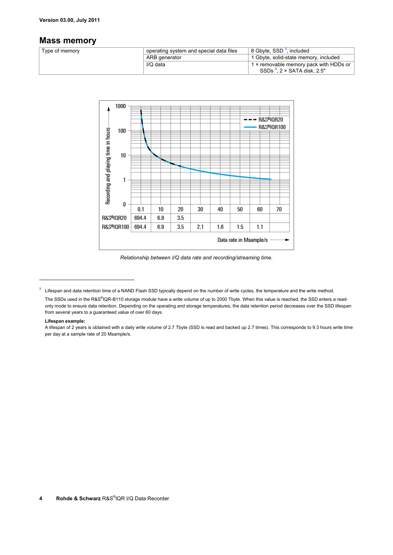#### **Version 03.00, July 2011**

### **Mass memory**

| Type of memory | operating system and special data files | 8 Gbyte, SSD <sup>3</sup> , included   |
|----------------|-----------------------------------------|----------------------------------------|
|                | ARB generator                           | 1 Gbyte, solid-state memory, included  |
|                | I/Q data                                | 1 × removable memory pack with HDDs or |
|                |                                         | SSDs $3.2 \times$ SATA disk, 2.5"      |



*Relationship between I/Q data rate and recording/streaming time.* 

#### **Lifespan example:**

<u>.</u>

 $3$  Lifespan and data retention time of a NAND Flash SSD typically depend on the number of write cycles, the temperature and the write method.

The SSDs used in the R&S®IQR-B110 storage module have a write volume of up to 2000 Tbyte. When this value is reached, the SSD enters a readonly mode to ensure data retention. Depending on the operating and storage temperatures, the data retention period decreases over the SSD lifespan from several years to a guaranteed value of over 60 days.

A lifespan of 2 years is obtained with a daily write volume of 2.7 Tbyte (SSD is read and backed up 2.7 times). This corresponds to 9.3 hours write time per day at a sample rate of 20 Msample/s.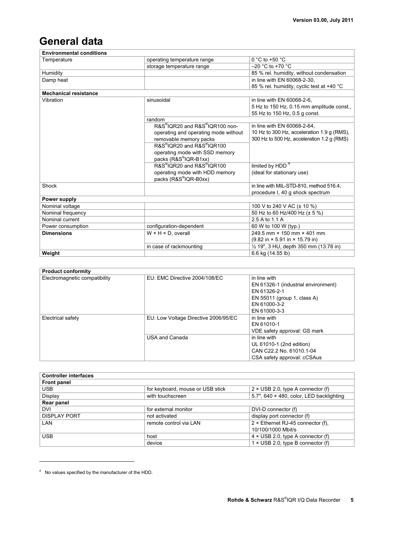# **General data**

| <b>Environmental conditions</b> |                                      |                                                                    |  |
|---------------------------------|--------------------------------------|--------------------------------------------------------------------|--|
| Temperature                     | operating temperature range          | $0 °C$ to +50 $°C$                                                 |  |
|                                 | storage temperature range            | $-20$ °C to +70 °C                                                 |  |
| Humidity                        |                                      | 85 % rel. humidity, without condensation                           |  |
| Damp heat                       |                                      | in line with EN 60068-2-30.                                        |  |
|                                 |                                      | 85 % rel. humidity, cyclic test at +40 °C                          |  |
| <b>Mechanical resistance</b>    |                                      |                                                                    |  |
| Vibration                       | sinusoidal                           | in line with EN 60068-2-6.                                         |  |
|                                 |                                      | 5 Hz to 150 Hz, 0.15 mm amplitude const.,                          |  |
|                                 |                                      | 55 Hz to 150 Hz, 0.5 g const.                                      |  |
|                                 | random                               |                                                                    |  |
|                                 | R&S®IQR20 and R&S®IQR100 non-        | in line with EN 60068-2-64.                                        |  |
|                                 | operating and operating mode without | 10 Hz to 300 Hz, acceleration 1.9 g (RMS),                         |  |
|                                 | removable memory packs               | 300 Hz to 500 Hz, acceleration 1.2 g (RMS)                         |  |
|                                 | R&S®IQR20 and R&S®IQR100             |                                                                    |  |
|                                 | operating mode with SSD memory       |                                                                    |  |
|                                 | packs (R&S®IQR-B1xx)                 |                                                                    |  |
|                                 | R&S®IQR20 and R&S®IQR100             | limited by HDD <sup>4</sup>                                        |  |
|                                 | operating mode with HDD memory       | (ideal for stationary use)                                         |  |
|                                 | packs (R&S®IQR-B0xx)                 |                                                                    |  |
| Shock                           |                                      | in line with MIL-STD-810, method 516.4,                            |  |
|                                 |                                      | procedure I, 40 g shock spectrum                                   |  |
| Power supply                    |                                      |                                                                    |  |
| Nominal voltage                 |                                      | 100 V to 240 V AC (± 10 %)                                         |  |
| Nominal frequency               |                                      | 50 Hz to 60 Hz/400 Hz (± 5 %)                                      |  |
| Nominal current                 |                                      | 2.5 A to 1.1 A                                                     |  |
| Power consumption               | configuration-dependent              | 60 W to 100 W (typ.)                                               |  |
| <b>Dimensions</b>               | $W \times H \times D$ , overall      | 249.5 mm × 150 mm × 401 mm                                         |  |
|                                 |                                      | $(9.82 \text{ in} \times 5.91 \text{ in} \times 15.79 \text{ in})$ |  |
|                                 | in case of rackmounting              | 1/2 19", 3 HU, depth 350 mm (13.78 in)                             |  |
| Weight                          |                                      | 6.6 kg (14.55 lb)                                                  |  |

| <b>Product conformity</b>     |                                      |                                                                                                                                    |  |
|-------------------------------|--------------------------------------|------------------------------------------------------------------------------------------------------------------------------------|--|
| Electromagnetic compatibility | EU: EMC Directive 2004/108/EC        | in line with<br>EN 61326-1 (industrial environment)<br>EN 61326-2-1<br>EN 55011 (group 1, class A)<br>EN 61000-3-2<br>EN 61000-3-3 |  |
| Electrical safety             | EU: Low Voltage Directive 2006/95/EC | in line with<br>EN 61010-1<br>VDE safety approval: GS mark                                                                         |  |
|                               | USA and Canada                       | in line with<br>UL 61010-1 (2nd edition)<br>CAN C22.2 No. 61010.1-04<br>CSA safety approval: cCSAus                                |  |

| <b>Controller interfaces</b> |                                  |                                                  |  |
|------------------------------|----------------------------------|--------------------------------------------------|--|
| <b>Front panel</b>           |                                  |                                                  |  |
| <b>USB</b>                   | for keyboard, mouse or USB stick | $2 \times$ USB 2.0, type A connector (f)         |  |
| Display                      | with touchscreen                 | 5.7", $640 \times 480$ , color, LED backlighting |  |
| Rear panel                   |                                  |                                                  |  |
| DVI                          | for external monitor             | DVI-D connector (f)                              |  |
| <b>DISPLAY PORT</b>          | not activated                    | display port connector (f)                       |  |
| LAN                          | remote control via LAN           | $2 \times$ Ethernet RJ-45 connector (f),         |  |
|                              |                                  | 10/100/1000 Mbit/s                               |  |
| <b>USB</b>                   | host                             | $4 \times$ USB 2.0, type A connector (f)         |  |
|                              | device                           | $1 \times$ USB 2.0, type B connector (f)         |  |

<sup>&</sup>lt;sup>4</sup> No values specified by the manufacturer of the HDD.

-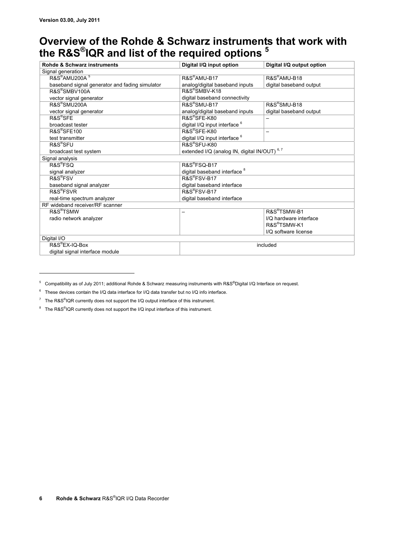<u>.</u>

# **Overview of the Rohde & Schwarz instruments that work with the R&S®IQR and list of the required options 5**

| Rohde & Schwarz instruments                    | Digital I/Q input option                     | Digital I/Q output option |  |
|------------------------------------------------|----------------------------------------------|---------------------------|--|
| Signal generation                              |                                              |                           |  |
| R&S <sup>®</sup> AMU200A <sup>5</sup>          | R&S <sup>®</sup> AMU-B17                     | R&S <sup>®</sup> AMU-B18  |  |
| baseband signal generator and fading simulator | analog/digital baseband inputs               | digital baseband output   |  |
| R&S®SMBV100A                                   | R&S <sup>®</sup> SMBV-K18                    |                           |  |
| vector signal generator                        | digital baseband connectivity                |                           |  |
| R&S <sup>®</sup> SMU200A                       | $RAS^{\otimes}$ SMU-B17                      | R&S <sup>®</sup> SMU-B18  |  |
| vector signal generator                        | analog/digital baseband inputs               | digital baseband output   |  |
| $RAS^{\circ}$ SFF                              | R&S®SFE-K80                                  |                           |  |
| broadcast tester                               | digital I/Q input interface <sup>6</sup>     |                           |  |
| R&S <sup>®</sup> SFE100                        | R&S <sup>®</sup> SFE-K80                     | —                         |  |
| test transmitter                               | digital I/Q input interface 6                |                           |  |
| $RAS^{\otimes}$ SFU                            | R&S®SFU-K80                                  |                           |  |
| broadcast test system                          | extended I/Q (analog IN, digital IN/OUT) 6,7 |                           |  |
| Signal analysis                                |                                              |                           |  |
| R&S <sup>®</sup> FSQ                           | R&S®FSQ-B17                                  |                           |  |
| signal analyzer                                | digital baseband interface <sup>8</sup>      |                           |  |
| R&S <sup>®</sup> FSV                           | R&S®FSV-B17                                  |                           |  |
| baseband signal analyzer                       | digital baseband interface                   |                           |  |
| R&S <sup>®</sup> FSVR                          | R&S <sup>®</sup> FSV-B17                     |                           |  |
| real-time spectrum analyzer                    | digital baseband interface                   |                           |  |
| RF wideband receiver/RF scanner                |                                              |                           |  |
| R&S <sup>®</sup> TSMW                          |                                              | R&S <sup>®</sup> TSMW-B1  |  |
| radio network analyzer                         |                                              | I/O hardware interface    |  |
|                                                |                                              | R&S <sup>®</sup> TSMW-K1  |  |
|                                                |                                              | I/O software license      |  |
| Digital I/O                                    |                                              |                           |  |
| R&S <sup>®</sup> EX-IQ-Box                     |                                              | included                  |  |
| digital signal interface module                |                                              |                           |  |

<sup>&</sup>lt;sup>5</sup> Compatibility as of July 2011; additional Rohde & Schwarz measuring instruments with R&S®Digital I/Q Interface on request.

 $6$  These devices contain the I/Q data interface for I/Q data transfer but no I/Q info interface.

<sup>&</sup>lt;sup>7</sup> The R&S<sup>®</sup>IQR currently does not support the I/Q output interface of this instrument.

<sup>&</sup>lt;sup>8</sup> The R&S<sup>®</sup>IQR currently does not support the I/Q input interface of this instrument.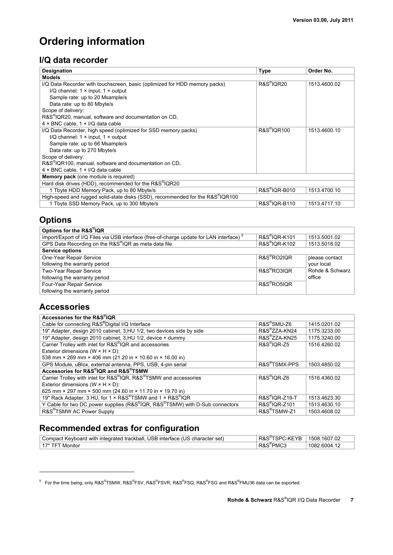# **Ordering information**

### **I/Q data recorder**

| <b>Designation</b>                                                            | <b>Type</b>                        | Order No.    |
|-------------------------------------------------------------------------------|------------------------------------|--------------|
| <b>Models</b>                                                                 |                                    |              |
| I/Q Data Recorder with touchscreen, basic (optimized for HDD memory packs)    | R&S <sup>®</sup> IOR20             | 1513.4600.02 |
| I/Q channel: $1 \times input$ , $1 \times output$                             |                                    |              |
| Sample rate: up to 20 Msample/s                                               |                                    |              |
| Data rate: up to 80 Mbyte/s                                                   |                                    |              |
| Scope of delivery:                                                            |                                    |              |
| R&S®IQR20, manual, software and documentation on CD,                          |                                    |              |
| $4 \times BNC$ cable, $1 \times I/Q$ data cable                               |                                    |              |
| I/Q Data Recorder, high speed (optimized for SSD memory packs)                | <b>R&amp;S</b> <sup>®</sup> IQR100 | 1513.4600.10 |
| I/Q channel: $1 \times input$ , $1 \times output$                             |                                    |              |
| Sample rate: up to 66 Msample/s                                               |                                    |              |
| Data rate: up to 270 Mbyte/s                                                  |                                    |              |
| Scope of delivery:                                                            |                                    |              |
| R&S <sup>®</sup> IQR100, manual, software and documentation on CD,            |                                    |              |
| $4 \times BNC$ cable, $1 \times I/Q$ data cable                               |                                    |              |
| <b>Memory pack</b> (one module is required)                                   |                                    |              |
| Hard disk drives (HDD), recommended for the R&S <sup>®</sup> IQR20            |                                    |              |
| 1 Tbyte HDD Memory Pack, up to 80 Mbyte/s                                     | R&S <sup>®</sup> IQR-B010          | 1513.4700.10 |
| High-speed and rugged solid-state disks (SSD), recommended for the R&S®IQR100 |                                    |              |
| 1 Tbyte SSD Memory Pack, up to 300 Mbyte/s                                    | R&S <sup>®</sup> IQR-B110          | 1513.4717.10 |

# **Options**

| Options for the R&S®IQR                                                                  |                           |                 |
|------------------------------------------------------------------------------------------|---------------------------|-----------------|
| Import/Export of I/Q Files via USB interface (free-of-charge update for LAN interface) 9 | R&S <sup>®</sup> IQR-K101 | 1513.5001.02    |
| GPS Data Recording on the R&S®IQR as meta data file                                      | R&S <sup>®</sup> IQR-K102 | 1513.5018.02    |
| <b>Service options</b>                                                                   |                           |                 |
| One-Year Repair Service                                                                  | R&S <sup>®</sup> RO2IOR   | please contact  |
| following the warranty period                                                            |                           | your local      |
| Two-Year Repair Service                                                                  | R&S <sup>®</sup> RO3IOR   | Rohde & Schwarz |
| following the warranty period                                                            |                           | office          |
| Four-Year Repair Service                                                                 | R&S <sup>®</sup> RO5IOR   |                 |
| following the warranty period                                                            |                           |                 |

### **Accessories**

<u>.</u>

| Accessories for the R&S®IQR                                                 |                            |              |
|-----------------------------------------------------------------------------|----------------------------|--------------|
| Cable for connecting R&S®Digital I/Q Interface                              | R&S <sup>®</sup> SMU-Z6    | 1415.0201.02 |
| 19" Adapter, design 2010 cabinet, 3, HU 1/2, two devices side by side       | R&S <sup>®</sup> ZZA-KN24  | 1175.3233.00 |
| 19" Adapter, design 2010 cabinet, 3, HU 1/2, device + dummy                 | R&S®ZZA-KN25               | 1175.3240.00 |
| Carrier Trolley with inlet for R&S®IQR and accessories                      | R&S <sup>®</sup> IOR-Z5    | 1516.4260.02 |
| Exterior dimensions ( $W \times H \times D$ ):                              |                            |              |
| 538 mm × 269 mm × 406 mm (21.20 in × 10.60 in × 16.00 in)                   |                            |              |
| GPS Module, uBlox, external antenna, PPS, USB, 4-pin serial                 | R&S <sup>®</sup> TSMX-PPS  | 1503.4850.02 |
| Accessories for R&S®IQR and R&S®TSMW                                        |                            |              |
| Carrier Trolley with inlet for R&S®IQR, R&S®TSMW and accessories            | R&S <sup>®</sup> IQR-Z6    | 1516.4360.02 |
| Exterior dimensions ( $W \times H \times D$ ):                              |                            |              |
| 625 mm × 297 mm × 500 mm (24.60 in × 11.70 in × 19.70 in)                   |                            |              |
| 19" Rack Adapter, 3 HU, for 1 × R&S®TSMW and 1 × R&S®IQR                    | R&S <sup>®</sup> IQR-Z19-T | 1513.4623.30 |
| Y Cable for two DC power supplies (R&S®IQR, R&S®TSMW) with D-Sub connectors | R&S <sup>®</sup> IOR-Z101  | 1513.4630.10 |
| R&S <sup>®</sup> TSMW AC Power Supply                                       | R&S <sup>®</sup> TSMW-Z1   | 1503.4608.02 |

# **Recommended extras for configuration**

| Compact Keyboard with integrated trackball. USB interface (US character set) | SPC-KEYB:<br>R&S | 1508.1607.02 |
|------------------------------------------------------------------------------|------------------|--------------|
| 471'<br>Monito                                                               | ™PMC3<br>R&S     | 1082.6004.12 |

 $^9$  For the time being, only R&S®TSMW, R&S®FSV, R&S®FSVR, R&S®FSQ, R&S®FSG and R&S®FMU36 data can be exported.